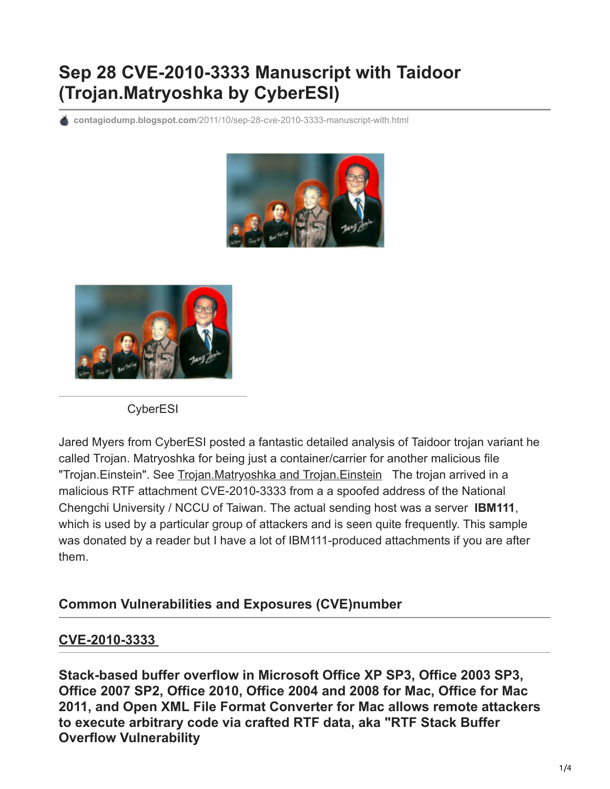# **Sep 28 CVE-2010-3333 Manuscript with Taidoor (Trojan.Matryoshka by CyberESI)**

**contagiodump.blogspot.com**[/2011/10/sep-28-cve-2010-3333-manuscript-with.html](http://contagiodump.blogspot.com/2011/10/sep-28-cve-2010-3333-manuscript-with.html)





**CyberESI** 

Jared Myers from CyberESI posted a fantastic detailed analysis of Taidoor trojan variant he called Trojan. Matryoshka for being just a container/carrier for another malicious file "Trojan.Einstein". See [Trojan.Matryoshka and Trojan.Einstein](http://www.cyberesi.com/2011/10/06/trojan-matryoshka-and-trojan-einstein/) The trojan arrived in a malicious RTF attachment CVE-2010-3333 from a a spoofed address of the National Chengchi University / NCCU of Taiwan. The actual sending host was a server **IBM111**, which is used by a particular group of attackers and is seen quite frequently. This sample was donated by a reader but I have a lot of IBM111-produced attachments if you are after them.

### **Common Vulnerabilities and Exposures (CVE)number**

### **[CVE-2010-3333](http://cve.mitre.org/cgi-bin/cvename.cgi?name=CVE-2010-3333)**

**Stack-based buffer overflow in Microsoft Office XP SP3, Office 2003 SP3, Office 2007 SP2, Office 2010, Office 2004 and 2008 for Mac, Office for Mac 2011, and Open XML File Format Converter for Mac allows remote attackers to execute arbitrary code via crafted RTF data, aka "RTF Stack Buffer Overflow Vulnerability**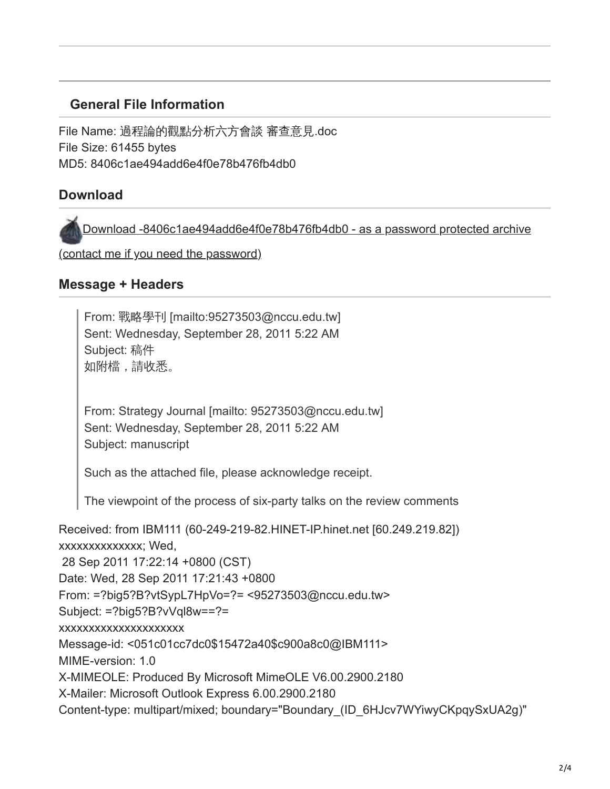## **General File Information**

File Name: 過程論的觀點分析六方會談 審查意見.doc File Size: 61455 bytes MD5: 8406c1ae494add6e4f0e78b476fb4db0

# **Download**

[Download -8406c1ae494add6e4f0e78b476fb4db0 - as a password protected archive](http://www.mediafire.com/?10u5qrdf31z1wu9)

(contact me if you need the password)

# **Message + Headers**

From: 戰略學刊 [mailto:95273503@nccu.edu.tw] Sent: Wednesday, September 28, 2011 5:22 AM Subject: 稿件 如附檔,請收悉。

From: Strategy Journal [mailto: 95273503@nccu.edu.tw] Sent: Wednesday, September 28, 2011 5:22 AM Subject: manuscript

Such as the attached file, please acknowledge receipt.

The viewpoint of the process of six-party talks on the review comments

Received: from IBM111 (60-249-219-82.HINET-IP.hinet.net [60.249.219.82]) xxxxxxxxxxxxxx; Wed, 28 Sep 2011 17:22:14 +0800 (CST) Date: Wed, 28 Sep 2011 17:21:43 +0800 From: =?big5?B?vtSypL7HpVo=?= <95273503@nccu.edu.tw> Subject: =?big5?B?vVql8w==?= xxxxxxxxxxxxxxxxxxxxx Message-id: <051c01cc7dc0\$15472a40\$c900a8c0@IBM111> MIME-version: 1.0 X-MIMEOLE: Produced By Microsoft MimeOLE V6.00.2900.2180 X-Mailer: Microsoft Outlook Express 6.00.2900.2180 Content-type: multipart/mixed; boundary="Boundary\_(ID\_6HJcv7WYiwyCKpqySxUA2g)"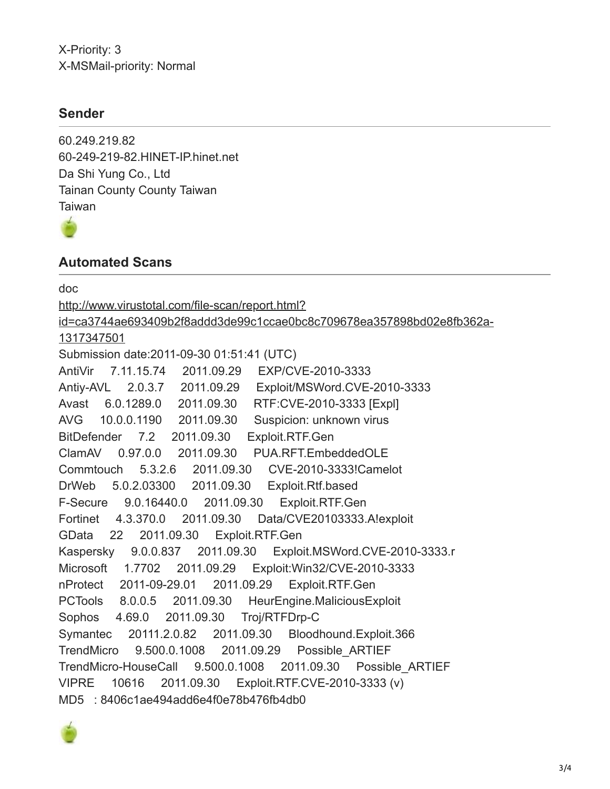X-Priority: 3 X-MSMail-priority: Normal

## **Sender**

60.249.219.82 60-249-219-82.HINET-IP.hinet.net Da Shi Yung Co., Ltd Tainan County County Taiwan Taiwan



### **Automated Scans**

doc http://www.virustotal.com/file-scan/report.html? [id=ca3744ae693409b2f8addd3de99c1ccae0bc8c709678ea357898bd02e8fb362a-](http://www.virustotal.com/file-scan/report.html?id=ca3744ae693409b2f8addd3de99c1ccae0bc8c709678ea357898bd02e8fb362a-1317347501)1317347501 Submission date:2011-09-30 01:51:41 (UTC) AntiVir 7.11.15.74 2011.09.29 EXP/CVE-2010-3333 Antiy-AVL 2.0.3.7 2011.09.29 Exploit/MSWord.CVE-2010-3333 Avast 6.0.1289.0 2011.09.30 RTF:CVE-2010-3333 [Expl] AVG 10.0.0.1190 2011.09.30 Suspicion: unknown virus BitDefender 7.2 2011.09.30 Exploit.RTF.Gen ClamAV 0.97.0.0 2011.09.30 PUA.RFT.EmbeddedOLE Commtouch 5.3.2.6 2011.09.30 CVE-2010-3333!Camelot DrWeb 5.0.2.03300 2011.09.30 Exploit.Rtf.based F-Secure 9.0.16440.0 2011.09.30 Exploit.RTF.Gen Fortinet 4.3.370.0 2011.09.30 Data/CVE20103333.A!exploit GData 22 2011.09.30 Exploit.RTF.Gen Kaspersky 9.0.0.837 2011.09.30 Exploit.MSWord.CVE-2010-3333.r Microsoft 1.7702 2011.09.29 Exploit:Win32/CVE-2010-3333 nProtect 2011-09-29.01 2011.09.29 Exploit.RTF.Gen PCTools 8.0.0.5 2011.09.30 HeurEngine.MaliciousExploit Sophos 4.69.0 2011.09.30 Troj/RTFDrp-C Symantec 20111.2.0.82 2011.09.30 Bloodhound.Exploit.366 TrendMicro 9.500.0.1008 2011.09.29 Possible\_ARTIEF TrendMicro-HouseCall 9.500.0.1008 2011.09.30 Possible\_ARTIEF VIPRE 10616 2011.09.30 Exploit.RTF.CVE-2010-3333 (v) MD5 : 8406c1ae494add6e4f0e78b476fb4db0